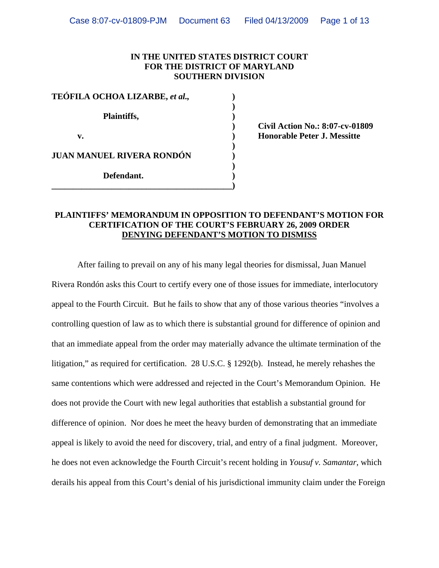#### **IN THE UNITED STATES DISTRICT COURT FOR THE DISTRICT OF MARYLAND SOUTHERN DIVISION**

| TEÓFILA OCHOA LIZARBE, et al., |  |
|--------------------------------|--|
| Plaintiffs,                    |  |
| v.                             |  |
| JUAN MANUEL RIVERA RONDÓN      |  |
| Defendant.                     |  |

 **) Civil Action No.: 8:07-cv-01809 v. ) Honorable Peter J. Messitte** 

#### **PLAINTIFFS' MEMORANDUM IN OPPOSITION TO DEFENDANT'S MOTION FOR CERTIFICATION OF THE COURT'S FEBRUARY 26, 2009 ORDER DENYING DEFENDANT'S MOTION TO DISMISS**

 After failing to prevail on any of his many legal theories for dismissal, Juan Manuel Rivera Rondón asks this Court to certify every one of those issues for immediate, interlocutory appeal to the Fourth Circuit. But he fails to show that any of those various theories "involves a controlling question of law as to which there is substantial ground for difference of opinion and that an immediate appeal from the order may materially advance the ultimate termination of the litigation," as required for certification. 28 U.S.C. § 1292(b). Instead, he merely rehashes the same contentions which were addressed and rejected in the Court's Memorandum Opinion. He does not provide the Court with new legal authorities that establish a substantial ground for difference of opinion. Nor does he meet the heavy burden of demonstrating that an immediate appeal is likely to avoid the need for discovery, trial, and entry of a final judgment. Moreover, he does not even acknowledge the Fourth Circuit's recent holding in *Yousuf v. Samantar*, which derails his appeal from this Court's denial of his jurisdictional immunity claim under the Foreign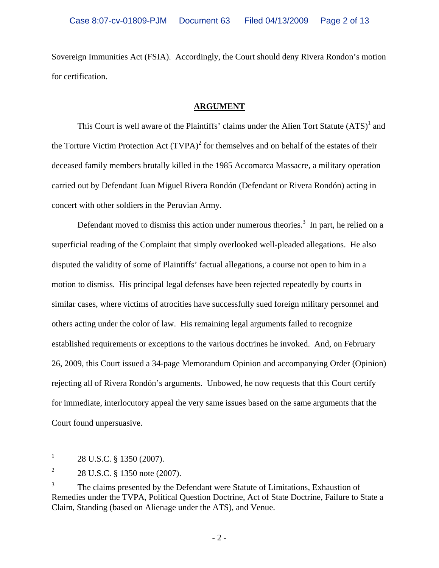Sovereign Immunities Act (FSIA). Accordingly, the Court should deny Rivera Rondon's motion for certification.

## **ARGUMENT**

This Court is well aware of the Plaintiffs' claims under the Alien Tort Statute  $(ATS)^{1}$  and the Torture Victim Protection Act  $(TVPA)^2$  for themselves and on behalf of the estates of their deceased family members brutally killed in the 1985 Accomarca Massacre, a military operation carried out by Defendant Juan Miguel Rivera Rondón (Defendant or Rivera Rondón) acting in concert with other soldiers in the Peruvian Army.

Defendant moved to dismiss this action under numerous theories.<sup>3</sup> In part, he relied on a superficial reading of the Complaint that simply overlooked well-pleaded allegations. He also disputed the validity of some of Plaintiffs' factual allegations, a course not open to him in a motion to dismiss. His principal legal defenses have been rejected repeatedly by courts in similar cases, where victims of atrocities have successfully sued foreign military personnel and others acting under the color of law. His remaining legal arguments failed to recognize established requirements or exceptions to the various doctrines he invoked. And, on February 26, 2009, this Court issued a 34-page Memorandum Opinion and accompanying Order (Opinion) rejecting all of Rivera Rondón's arguments. Unbowed, he now requests that this Court certify for immediate, interlocutory appeal the very same issues based on the same arguments that the Court found unpersuasive.

 $\frac{1}{1}$ 28 U.S.C. § 1350 (2007).

<sup>2</sup> 28 U.S.C. § 1350 note (2007).

<sup>3</sup> The claims presented by the Defendant were Statute of Limitations, Exhaustion of Remedies under the TVPA, Political Question Doctrine, Act of State Doctrine, Failure to State a Claim, Standing (based on Alienage under the ATS), and Venue.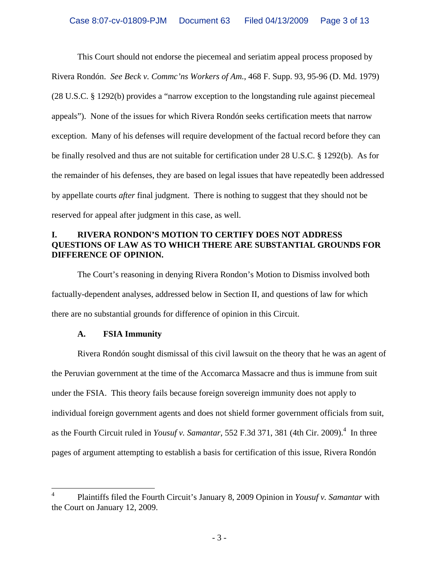This Court should not endorse the piecemeal and seriatim appeal process proposed by Rivera Rondón. *See Beck v. Commc'ns Workers of Am.*, 468 F. Supp. 93, 95-96 (D. Md. 1979) (28 U.S.C. § 1292(b) provides a "narrow exception to the longstanding rule against piecemeal appeals"). None of the issues for which Rivera Rondón seeks certification meets that narrow exception. Many of his defenses will require development of the factual record before they can be finally resolved and thus are not suitable for certification under 28 U.S.C. § 1292(b). As for the remainder of his defenses, they are based on legal issues that have repeatedly been addressed by appellate courts *after* final judgment. There is nothing to suggest that they should not be reserved for appeal after judgment in this case, as well.

## **I. RIVERA RONDON'S MOTION TO CERTIFY DOES NOT ADDRESS QUESTIONS OF LAW AS TO WHICH THERE ARE SUBSTANTIAL GROUNDS FOR DIFFERENCE OF OPINION.**

 The Court's reasoning in denying Rivera Rondon's Motion to Dismiss involved both factually-dependent analyses, addressed below in Section II, and questions of law for which there are no substantial grounds for difference of opinion in this Circuit.

# **A. FSIA Immunity**

 $\overline{a}$ 

 Rivera Rondón sought dismissal of this civil lawsuit on the theory that he was an agent of the Peruvian government at the time of the Accomarca Massacre and thus is immune from suit under the FSIA. This theory fails because foreign sovereign immunity does not apply to individual foreign government agents and does not shield former government officials from suit, as the Fourth Circuit ruled in *Yousuf v. Samantar*, 552 F.3d 371, 381 (4th Cir. 2009).<sup>4</sup> In three pages of argument attempting to establish a basis for certification of this issue, Rivera Rondón

<sup>4</sup> Plaintiffs filed the Fourth Circuit's January 8, 2009 Opinion in *Yousuf v. Samantar* with the Court on January 12, 2009.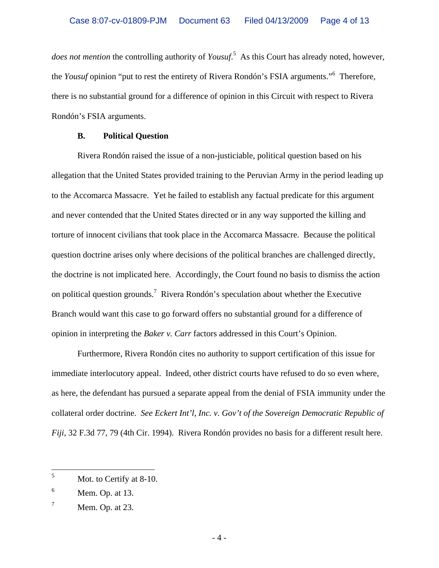*does not mention* the controlling authority of *Yousuf*. 5 As this Court has already noted, however, the *Yousuf* opinion "put to rest the entirety of Rivera Rondón's FSIA arguments."<sup>6</sup> Therefore, there is no substantial ground for a difference of opinion in this Circuit with respect to Rivera Rondón's FSIA arguments.

#### **B. Political Question**

 Rivera Rondón raised the issue of a non-justiciable, political question based on his allegation that the United States provided training to the Peruvian Army in the period leading up to the Accomarca Massacre. Yet he failed to establish any factual predicate for this argument and never contended that the United States directed or in any way supported the killing and torture of innocent civilians that took place in the Accomarca Massacre. Because the political question doctrine arises only where decisions of the political branches are challenged directly, the doctrine is not implicated here. Accordingly, the Court found no basis to dismiss the action on political question grounds.<sup>7</sup> Rivera Rondón's speculation about whether the Executive Branch would want this case to go forward offers no substantial ground for a difference of opinion in interpreting the *Baker v. Carr* factors addressed in this Court's Opinion.

 Furthermore, Rivera Rondón cites no authority to support certification of this issue for immediate interlocutory appeal. Indeed, other district courts have refused to do so even where, as here, the defendant has pursued a separate appeal from the denial of FSIA immunity under the collateral order doctrine. *See Eckert Int'l, Inc. v. Gov't of the Sovereign Democratic Republic of Fiji*, 32 F.3d 77, 79 (4th Cir. 1994). Rivera Rondón provides no basis for a different result here.

 5 Mot. to Certify at 8-10.

<sup>6</sup> Mem. Op. at 13.

 $<sup>7</sup>$  Mem. Op. at 23.</sup>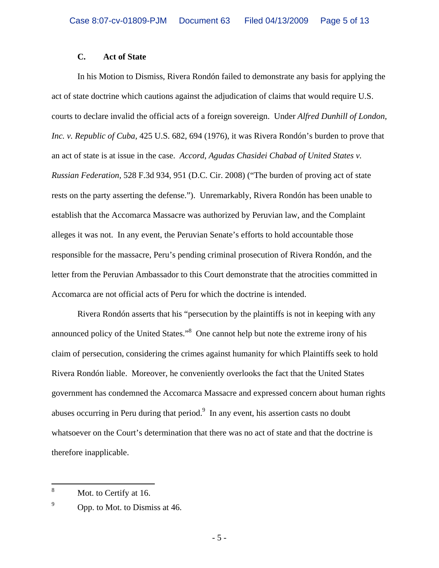## **C. Act of State**

 In his Motion to Dismiss, Rivera Rondón failed to demonstrate any basis for applying the act of state doctrine which cautions against the adjudication of claims that would require U.S. courts to declare invalid the official acts of a foreign sovereign. Under *Alfred Dunhill of London, Inc. v. Republic of Cuba*, 425 U.S. 682, 694 (1976), it was Rivera Rondón's burden to prove that an act of state is at issue in the case. *Accord*, *Agudas Chasidei Chabad of United States v. Russian Federation,* 528 F.3d 934, 951 (D.C. Cir. 2008) ("The burden of proving act of state rests on the party asserting the defense."). Unremarkably, Rivera Rondón has been unable to establish that the Accomarca Massacre was authorized by Peruvian law, and the Complaint alleges it was not. In any event, the Peruvian Senate's efforts to hold accountable those responsible for the massacre, Peru's pending criminal prosecution of Rivera Rondón, and the letter from the Peruvian Ambassador to this Court demonstrate that the atrocities committed in Accomarca are not official acts of Peru for which the doctrine is intended.

 Rivera Rondón asserts that his "persecution by the plaintiffs is not in keeping with any announced policy of the United States."<sup>8</sup> One cannot help but note the extreme irony of his claim of persecution, considering the crimes against humanity for which Plaintiffs seek to hold Rivera Rondón liable. Moreover, he conveniently overlooks the fact that the United States government has condemned the Accomarca Massacre and expressed concern about human rights abuses occurring in Peru during that period. $9\,$  In any event, his assertion casts no doubt whatsoever on the Court's determination that there was no act of state and that the doctrine is therefore inapplicable.

 8 Mot. to Certify at 16.

<sup>9</sup> Opp. to Mot. to Dismiss at 46.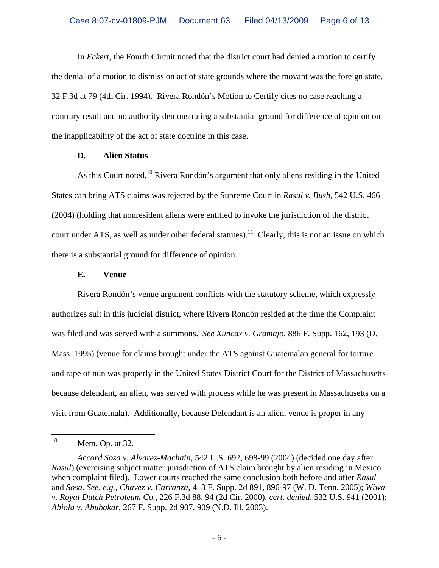In *Eckert,* the Fourth Circuit noted that the district court had denied a motion to certify the denial of a motion to dismiss on act of state grounds where the movant was the foreign state. 32 F.3d at 79 (4th Cir. 1994). Rivera Rondón's Motion to Certify cites no case reaching a contrary result and no authority demonstrating a substantial ground for difference of opinion on the inapplicability of the act of state doctrine in this case.

#### **D. Alien Status**

As this Court noted,<sup>10</sup> Rivera Rondón's argument that only aliens residing in the United States can bring ATS claims was rejected by the Supreme Court in *Rasul v. Bush*, 542 U.S. 466 (2004) (holding that nonresident aliens were entitled to invoke the jurisdiction of the district court under ATS, as well as under other federal statutes).<sup>11</sup> Clearly, this is not an issue on which there is a substantial ground for difference of opinion.

#### **E. Venue**

 Rivera Rondón's venue argument conflicts with the statutory scheme, which expressly authorizes suit in this judicial district, where Rivera Rondón resided at the time the Complaint was filed and was served with a summons. *See Xuncax v. Gramajo*, 886 F. Supp. 162, 193 (D. Mass. 1995) (venue for claims brought under the ATS against Guatemalan general for torture and rape of nun was properly in the United States District Court for the District of Massachusetts because defendant, an alien, was served with process while he was present in Massachusetts on a visit from Guatemala). Additionally, because Defendant is an alien, venue is proper in any

 $10\,$ Mem. Op. at 32.

<sup>11</sup> *Accord Sosa v. Alvarez-Machain*, 542 U.S. 692, 698-99 (2004) (decided one day after *Rasul*) (exercising subject matter jurisdiction of ATS claim brought by alien residing in Mexico when complaint filed). Lower courts reached the same conclusion both before and after *Rasul*  and *Sosa. See, e.g., Chavez v. Carranza*, 413 F. Supp. 2d 891, 896-97 (W. D. Tenn. 2005); *Wiwa v. Royal Dutch Petroleum Co.*, 226 F.3d 88, 94 (2d Cir. 2000), *cert. denied,* 532 U.S. 941 (2001); *Abiola v. Abubakar*, 267 F. Supp. 2d 907, 909 (N.D. Ill. 2003).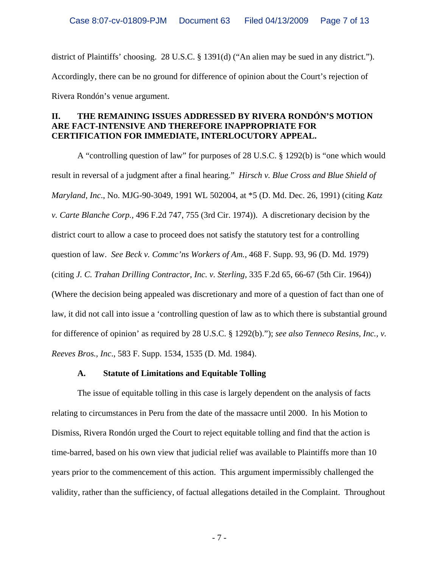district of Plaintiffs' choosing. 28 U.S.C. § 1391(d) ("An alien may be sued in any district."). Accordingly, there can be no ground for difference of opinion about the Court's rejection of Rivera Rondón's venue argument.

# **II. THE REMAINING ISSUES ADDRESSED BY RIVERA RONDÓN'S MOTION ARE FACT-INTENSIVE AND THEREFORE INAPPROPRIATE FOR CERTIFICATION FOR IMMEDIATE, INTERLOCUTORY APPEAL.**

 A "controlling question of law" for purposes of 28 U.S.C. § 1292(b) is "one which would result in reversal of a judgment after a final hearing." *Hirsch v. Blue Cross and Blue Shield of Maryland, Inc*., No. MJG-90-3049, 1991 WL 502004, at \*5 (D. Md. Dec. 26, 1991) (citing *Katz v. Carte Blanche Corp.,* 496 F.2d 747, 755 (3rd Cir. 1974)). A discretionary decision by the district court to allow a case to proceed does not satisfy the statutory test for a controlling question of law. *See Beck v. Commc'ns Workers of Am.*, 468 F. Supp. 93, 96 (D. Md. 1979) (citing *J. C. Trahan Drilling Contractor, Inc. v. Sterling*, 335 F.2d 65, 66-67 (5th Cir. 1964)) (Where the decision being appealed was discretionary and more of a question of fact than one of law, it did not call into issue a 'controlling question of law as to which there is substantial ground for difference of opinion' as required by 28 U.S.C. § 1292(b)."); *see also Tenneco Resins, Inc., v. Reeves Bros., Inc*., 583 F. Supp. 1534, 1535 (D. Md. 1984).

# **A. Statute of Limitations and Equitable Tolling**

 The issue of equitable tolling in this case is largely dependent on the analysis of facts relating to circumstances in Peru from the date of the massacre until 2000. In his Motion to Dismiss, Rivera Rondón urged the Court to reject equitable tolling and find that the action is time-barred, based on his own view that judicial relief was available to Plaintiffs more than 10 years prior to the commencement of this action. This argument impermissibly challenged the validity, rather than the sufficiency, of factual allegations detailed in the Complaint. Throughout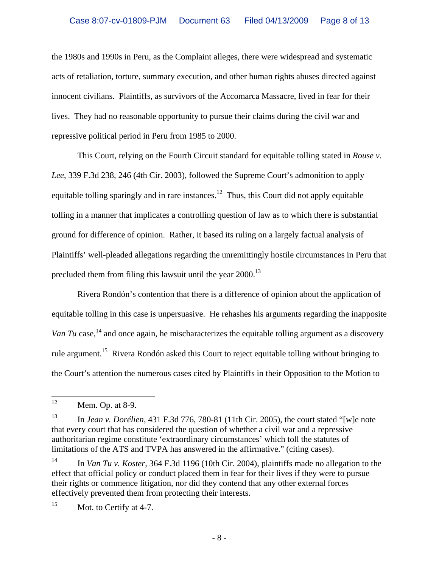the 1980s and 1990s in Peru, as the Complaint alleges, there were widespread and systematic acts of retaliation, torture, summary execution, and other human rights abuses directed against innocent civilians. Plaintiffs, as survivors of the Accomarca Massacre, lived in fear for their lives. They had no reasonable opportunity to pursue their claims during the civil war and repressive political period in Peru from 1985 to 2000.

 This Court, relying on the Fourth Circuit standard for equitable tolling stated in *Rouse v. Lee*, 339 F.3d 238, 246 (4th Cir. 2003), followed the Supreme Court's admonition to apply equitable tolling sparingly and in rare instances.<sup>12</sup> Thus, this Court did not apply equitable tolling in a manner that implicates a controlling question of law as to which there is substantial ground for difference of opinion. Rather, it based its ruling on a largely factual analysis of Plaintiffs' well-pleaded allegations regarding the unremittingly hostile circumstances in Peru that precluded them from filing this lawsuit until the year  $2000$ .<sup>13</sup>

 Rivera Rondón's contention that there is a difference of opinion about the application of equitable tolling in this case is unpersuasive. He rehashes his arguments regarding the inapposite Van Tu case,<sup>14</sup> and once again, he mischaracterizes the equitable tolling argument as a discovery rule argument.15 Rivera Rondón asked this Court to reject equitable tolling without bringing to the Court's attention the numerous cases cited by Plaintiffs in their Opposition to the Motion to

<sup>15</sup> Mot. to Certify at 4-7.

 $12$ Mem. Op. at 8-9.

<sup>13</sup> In *Jean v. Dorélien*, 431 F.3d 776, 780-81 (11th Cir. 2005), the court stated "[w]e note that every court that has considered the question of whether a civil war and a repressive authoritarian regime constitute 'extraordinary circumstances' which toll the statutes of limitations of the ATS and TVPA has answered in the affirmative." (citing cases).

<sup>14</sup> In *Van Tu v. Koster,* 364 F.3d 1196 (10th Cir. 2004), plaintiffs made no allegation to the effect that official policy or conduct placed them in fear for their lives if they were to pursue their rights or commence litigation, nor did they contend that any other external forces effectively prevented them from protecting their interests.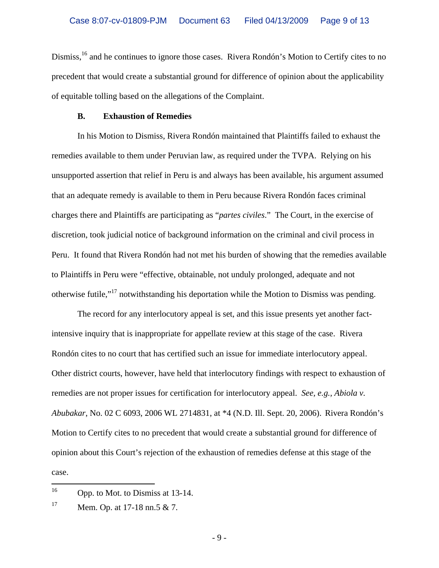Dismiss,<sup>16</sup> and he continues to ignore those cases. Rivera Rondón's Motion to Certify cites to no precedent that would create a substantial ground for difference of opinion about the applicability of equitable tolling based on the allegations of the Complaint.

#### **B. Exhaustion of Remedies**

 In his Motion to Dismiss, Rivera Rondón maintained that Plaintiffs failed to exhaust the remedies available to them under Peruvian law, as required under the TVPA. Relying on his unsupported assertion that relief in Peru is and always has been available, his argument assumed that an adequate remedy is available to them in Peru because Rivera Rondón faces criminal charges there and Plaintiffs are participating as "*partes civiles*." The Court, in the exercise of discretion, took judicial notice of background information on the criminal and civil process in Peru. It found that Rivera Rondón had not met his burden of showing that the remedies available to Plaintiffs in Peru were "effective, obtainable, not unduly prolonged, adequate and not otherwise futile,"17 notwithstanding his deportation while the Motion to Dismiss was pending.

 The record for any interlocutory appeal is set, and this issue presents yet another factintensive inquiry that is inappropriate for appellate review at this stage of the case. Rivera Rondón cites to no court that has certified such an issue for immediate interlocutory appeal. Other district courts, however, have held that interlocutory findings with respect to exhaustion of remedies are not proper issues for certification for interlocutory appeal. *See, e.g., Abiola v. Abubakar*, No. 02 C 6093, 2006 WL 2714831, at \*4 (N.D. Ill. Sept. 20, 2006). Rivera Rondón's Motion to Certify cites to no precedent that would create a substantial ground for difference of opinion about this Court's rejection of the exhaustion of remedies defense at this stage of the case.

<sup>16</sup> Opp. to Mot. to Dismiss at 13-14.

 $17$  Mem. Op. at 17-18 nn.5 & 7.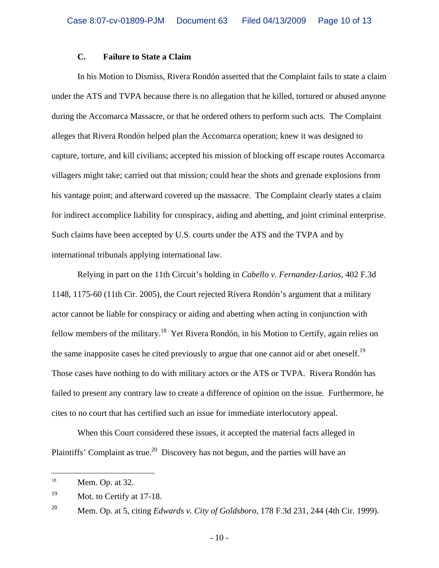#### **C. Failure to State a Claim**

 In his Motion to Dismiss, Rivera Rondón asserted that the Complaint fails to state a claim under the ATS and TVPA because there is no allegation that he killed, tortured or abused anyone during the Accomarca Massacre, or that he ordered others to perform such acts. The Complaint alleges that Rivera Rondón helped plan the Accomarca operation; knew it was designed to capture, torture, and kill civilians; accepted his mission of blocking off escape routes Accomarca villagers might take; carried out that mission; could hear the shots and grenade explosions from his vantage point; and afterward covered up the massacre. The Complaint clearly states a claim for indirect accomplice liability for conspiracy, aiding and abetting, and joint criminal enterprise. Such claims have been accepted by U.S. courts under the ATS and the TVPA and by international tribunals applying international law.

 Relying in part on the 11th Circuit's holding in *Cabello v. Fernandez-Larios*, 402 F.3d 1148, 1175-60 (11th Cir. 2005), the Court rejected Rivera Rondón's argument that a military actor cannot be liable for conspiracy or aiding and abetting when acting in conjunction with fellow members of the military.<sup>18</sup> Yet Rivera Rondón, in his Motion to Certify, again relies on the same inapposite cases he cited previously to argue that one cannot aid or abet oneself.<sup>19</sup> Those cases have nothing to do with military actors or the ATS or TVPA. Rivera Rondón has failed to present any contrary law to create a difference of opinion on the issue. Furthermore, he cites to no court that has certified such an issue for immediate interlocutory appeal.

 When this Court considered these issues, it accepted the material facts alleged in Plaintiffs' Complaint as true.<sup>20</sup> Discovery has not begun, and the parties will have an

 $\overline{a}$ 

<sup>&</sup>lt;sup>18</sup> Mem. Op. at 32.

<sup>&</sup>lt;sup>19</sup> Mot. to Certify at 17-18.

<sup>20</sup> Mem. Op. at 5, citing *Edwards v. City of Goldsboro*, 178 F.3d 231, 244 (4th Cir. 1999).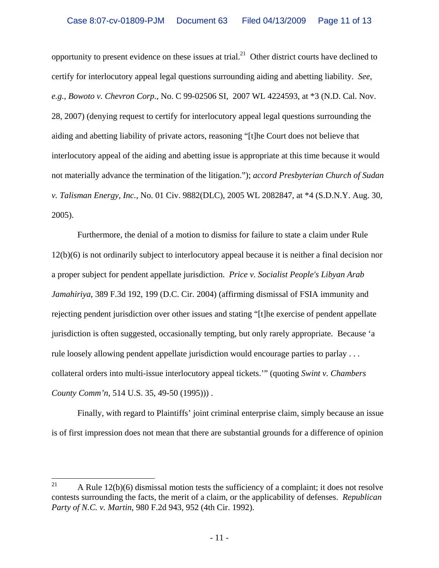opportunity to present evidence on these issues at trial.<sup>21</sup> Other district courts have declined to certify for interlocutory appeal legal questions surrounding aiding and abetting liability. *See, e.g., Bowoto v. Chevron Corp*., No. C 99-02506 SI, 2007 WL 4224593, at \*3 (N.D. Cal. Nov. 28, 2007) (denying request to certify for interlocutory appeal legal questions surrounding the aiding and abetting liability of private actors, reasoning "[t]he Court does not believe that interlocutory appeal of the aiding and abetting issue is appropriate at this time because it would not materially advance the termination of the litigation."); *accord Presbyterian Church of Sudan v. Talisman Energy, Inc.,* No. 01 Civ. 9882(DLC), 2005 WL 2082847, at \*4 (S.D.N.Y. Aug. 30, 2005).

 Furthermore, the denial of a motion to dismiss for failure to state a claim under Rule 12(b)(6) is not ordinarily subject to interlocutory appeal because it is neither a final decision nor a proper subject for pendent appellate jurisdiction. *Price v. Socialist People's Libyan Arab Jamahiriya*, 389 F.3d 192, 199 (D.C. Cir. 2004) (affirming dismissal of FSIA immunity and rejecting pendent jurisdiction over other issues and stating "[t]he exercise of pendent appellate jurisdiction is often suggested, occasionally tempting, but only rarely appropriate. Because 'a rule loosely allowing pendent appellate jurisdiction would encourage parties to parlay . . . collateral orders into multi-issue interlocutory appeal tickets.'" (quoting *Swint v. Chambers County Comm'n*, 514 U.S. 35, 49-50 (1995))) .

Finally, with regard to Plaintiffs' joint criminal enterprise claim, simply because an issue is of first impression does not mean that there are substantial grounds for a difference of opinion

<sup>21</sup> A Rule  $12(b)(6)$  dismissal motion tests the sufficiency of a complaint; it does not resolve contests surrounding the facts, the merit of a claim, or the applicability of defenses. *Republican Party of N.C. v. Martin*, 980 F.2d 943, 952 (4th Cir. 1992).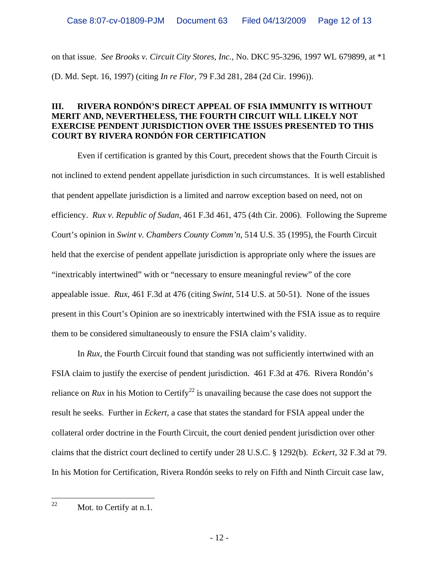on that issue. *See Brooks v. Circuit City Stores, Inc.,* No. DKC 95-3296, 1997 WL 679899, at \*1 (D. Md. Sept. 16, 1997) (citing *In re Flor,* 79 F.3d 281, 284 (2d Cir. 1996)).

# **III. RIVERA RONDÓN'S DIRECT APPEAL OF FSIA IMMUNITY IS WITHOUT MERIT AND, NEVERTHELESS, THE FOURTH CIRCUIT WILL LIKELY NOT EXERCISE PENDENT JURISDICTION OVER THE ISSUES PRESENTED TO THIS COURT BY RIVERA RONDÓN FOR CERTIFICATION**

Even if certification is granted by this Court, precedent shows that the Fourth Circuit is not inclined to extend pendent appellate jurisdiction in such circumstances. It is well established that pendent appellate jurisdiction is a limited and narrow exception based on need, not on efficiency. *Rux v. Republic of Sudan*, 461 F.3d 461, 475 (4th Cir. 2006). Following the Supreme Court's opinion in *Swint v. Chambers County Comm'n*, 514 U.S. 35 (1995), the Fourth Circuit held that the exercise of pendent appellate jurisdiction is appropriate only where the issues are "inextricably intertwined" with or "necessary to ensure meaningful review" of the core appealable issue. *Rux*, 461 F.3d at 476 (citing *Swint*, 514 U.S. at 50-51). None of the issues present in this Court's Opinion are so inextricably intertwined with the FSIA issue as to require them to be considered simultaneously to ensure the FSIA claim's validity.

 In *Rux*, the Fourth Circuit found that standing was not sufficiently intertwined with an FSIA claim to justify the exercise of pendent jurisdiction. 461 F.3d at 476. Rivera Rondón's reliance on *Rux* in his Motion to Certify<sup>22</sup> is unavailing because the case does not support the result he seeks. Further in *Eckert,* a case that states the standard for FSIA appeal under the collateral order doctrine in the Fourth Circuit, the court denied pendent jurisdiction over other claims that the district court declined to certify under 28 U.S.C. § 1292(b). *Eckert*, 32 F.3d at 79. In his Motion for Certification, Rivera Rondón seeks to rely on Fifth and Ninth Circuit case law,

22 Mot. to Certify at n.1.